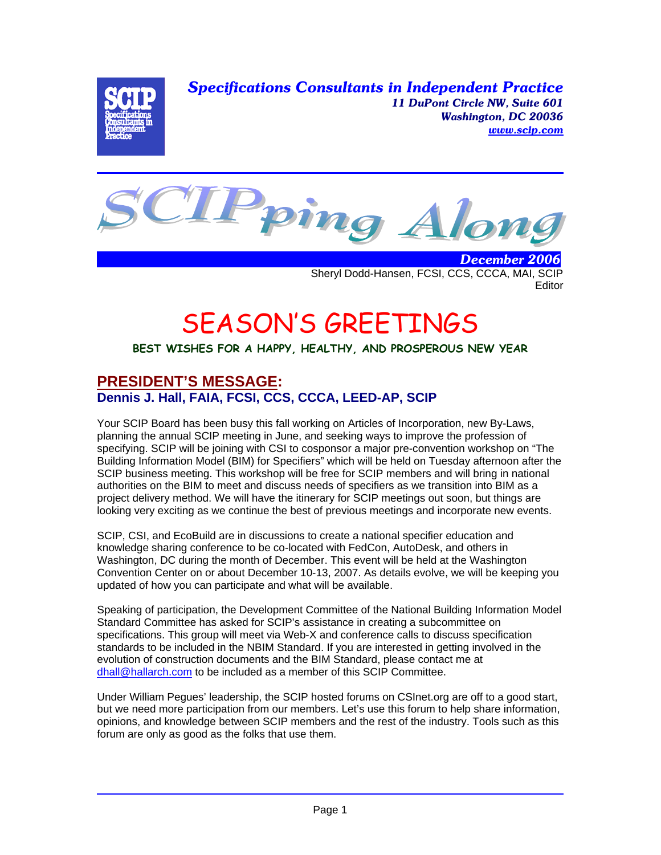*Specifications Consultants in Independent Practice 11 DuPont Circle NW, Suite 601 Washington, DC 20036 www.scip.com*



 *December 2006* Sheryl Dodd-Hansen, FCSI, CCS, CCCA, MAI, SCIP **Editor** 

# SEASON'S GREETINGS

#### **BEST WISHES FOR A HAPPY, HEALTHY, AND PROSPEROUS NEW YEAR**

## **PRESIDENT'S MESSAGE: Dennis J. Hall, FAIA, FCSI, CCS, CCCA, LEED-AP, SCIP**

Your SCIP Board has been busy this fall working on Articles of Incorporation, new By-Laws, planning the annual SCIP meeting in June, and seeking ways to improve the profession of specifying. SCIP will be joining with CSI to cosponsor a major pre-convention workshop on "The Building Information Model (BIM) for Specifiers" which will be held on Tuesday afternoon after the SCIP business meeting. This workshop will be free for SCIP members and will bring in national authorities on the BIM to meet and discuss needs of specifiers as we transition into BIM as a project delivery method. We will have the itinerary for SCIP meetings out soon, but things are looking very exciting as we continue the best of previous meetings and incorporate new events.

SCIP, CSI, and EcoBuild are in discussions to create a national specifier education and knowledge sharing conference to be co-located with FedCon, AutoDesk, and others in Washington, DC during the month of December. This event will be held at the Washington Convention Center on or about December 10-13, 2007. As details evolve, we will be keeping you updated of how you can participate and what will be available.

Speaking of participation, the Development Committee of the National Building Information Model Standard Committee has asked for SCIP's assistance in creating a subcommittee on specifications. This group will meet via Web-X and conference calls to discuss specification standards to be included in the NBIM Standard. If you are interested in getting involved in the evolution of construction documents and the BIM Standard, please contact me at dhall@hallarch.com to be included as a member of this SCIP Committee.

Under William Pegues' leadership, the SCIP hosted forums on CSInet.org are off to a good start, but we need more participation from our members. Let's use this forum to help share information, opinions, and knowledge between SCIP members and the rest of the industry. Tools such as this forum are only as good as the folks that use them.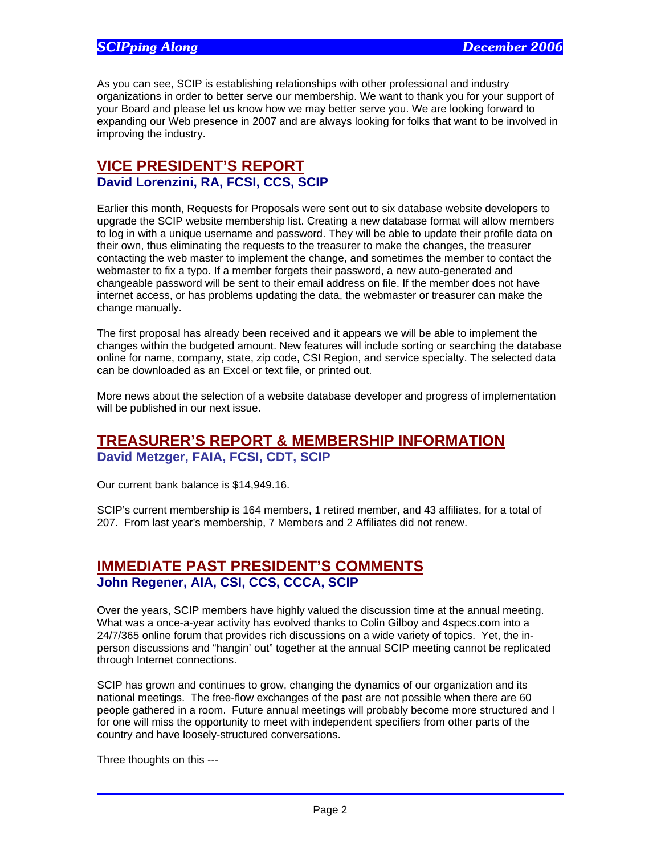As you can see, SCIP is establishing relationships with other professional and industry organizations in order to better serve our membership. We want to thank you for your support of your Board and please let us know how we may better serve you. We are looking forward to expanding our Web presence in 2007 and are always looking for folks that want to be involved in improving the industry.

#### **VICE PRESIDENT'S REPORT David Lorenzini, RA, FCSI, CCS, SCIP**

Earlier this month, Requests for Proposals were sent out to six database website developers to upgrade the SCIP website membership list. Creating a new database format will allow members to log in with a unique username and password. They will be able to update their profile data on their own, thus eliminating the requests to the treasurer to make the changes, the treasurer contacting the web master to implement the change, and sometimes the member to contact the webmaster to fix a typo. If a member forgets their password, a new auto-generated and changeable password will be sent to their email address on file. If the member does not have internet access, or has problems updating the data, the webmaster or treasurer can make the change manually.

The first proposal has already been received and it appears we will be able to implement the changes within the budgeted amount. New features will include sorting or searching the database online for name, company, state, zip code, CSI Region, and service specialty. The selected data can be downloaded as an Excel or text file, or printed out.

More news about the selection of a website database developer and progress of implementation will be published in our next issue.

# **TREASURER'S REPORT & MEMBERSHIP INFORMATION**

**David Metzger, FAIA, FCSI, CDT, SCIP** 

Our current bank balance is \$14,949.16.

SCIP's current membership is 164 members, 1 retired member, and 43 affiliates, for a total of 207. From last year's membership, 7 Members and 2 Affiliates did not renew.

### **IMMEDIATE PAST PRESIDENT'S COMMENTS John Regener, AIA, CSI, CCS, CCCA, SCIP**

Over the years, SCIP members have highly valued the discussion time at the annual meeting. What was a once-a-year activity has evolved thanks to Colin Gilboy and 4specs.com into a 24/7/365 online forum that provides rich discussions on a wide variety of topics. Yet, the inperson discussions and "hangin' out" together at the annual SCIP meeting cannot be replicated through Internet connections.

SCIP has grown and continues to grow, changing the dynamics of our organization and its national meetings. The free-flow exchanges of the past are not possible when there are 60 people gathered in a room. Future annual meetings will probably become more structured and I for one will miss the opportunity to meet with independent specifiers from other parts of the country and have loosely-structured conversations.

Three thoughts on this ---